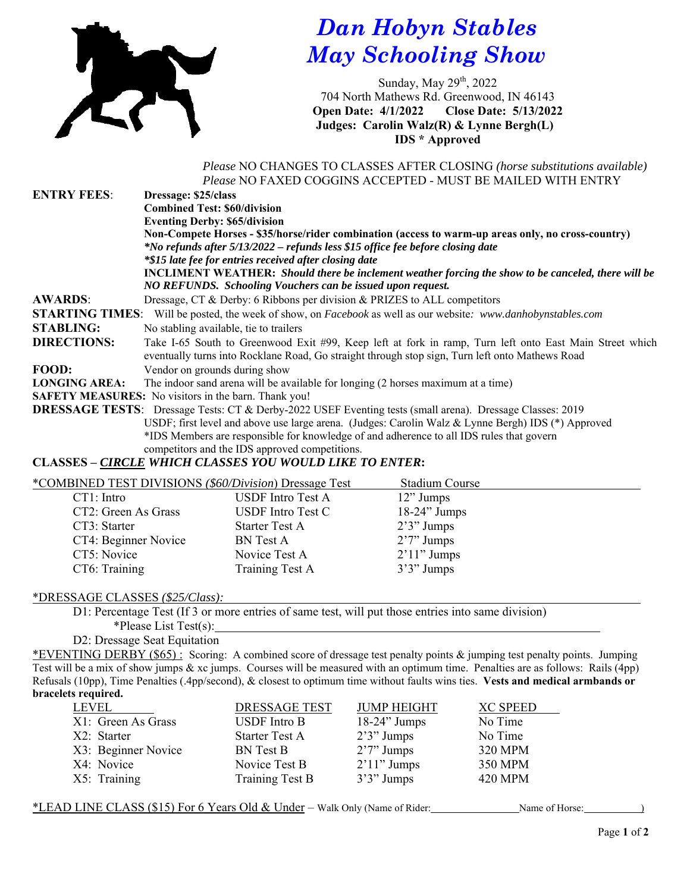

## *Dan Hobyn Stables May Schooling Show*

Sunday, May 29<sup>th</sup>, 2022 704 North Mathews Rd. Greenwood, IN 46143 **Open Date: 4/1/2022 Close Date: 5/13/2022 Judges: Carolin Walz(R) & Lynne Bergh(L) IDS \* Approved** 

 *Please* NO CHANGES TO CLASSES AFTER CLOSING *(horse substitutions available) Please* NO FAXED COGGINS ACCEPTED - MUST BE MAILED WITH ENTRY

| <b>ENTRY FEES:</b>   | Dressage: \$25/class                                                                                                        |  |  |
|----------------------|-----------------------------------------------------------------------------------------------------------------------------|--|--|
|                      | <b>Combined Test: \$60/division</b>                                                                                         |  |  |
|                      | <b>Eventing Derby: \$65/division</b>                                                                                        |  |  |
|                      | Non-Compete Horses - \$35/horse/rider combination (access to warm-up areas only, no cross-country)                          |  |  |
|                      | *No refunds after 5/13/2022 – refunds less \$15 office fee before closing date                                              |  |  |
|                      | *\$15 late fee for entries received after closing date                                                                      |  |  |
|                      | <b>INCLIMENT WEATHER:</b> Should there be inclement weather forcing the show to be canceled, there will be                  |  |  |
|                      | NO REFUNDS. Schooling Vouchers can be issued upon request.                                                                  |  |  |
| <b>AWARDS:</b>       | Dressage, CT & Derby: 6 Ribbons per division & PRIZES to ALL competitors                                                    |  |  |
|                      | <b>STARTING TIMES:</b> Will be posted, the week of show, on <i>Facebook</i> as well as our website: www.danhobynstables.com |  |  |
| <b>STABLING:</b>     | No stabling available, tie to trailers                                                                                      |  |  |
| <b>DIRECTIONS:</b>   | Take I-65 South to Greenwood Exit #99, Keep left at fork in ramp, Turn left onto East Main Street which                     |  |  |
|                      | eventually turns into Rocklane Road, Go straight through stop sign, Turn left onto Mathews Road                             |  |  |
| FOOD:                | Vendor on grounds during show                                                                                               |  |  |
| <b>LONGING AREA:</b> | The indoor sand arena will be available for longing (2 horses maximum at a time)                                            |  |  |
|                      | <b>SAFETY MEASURES:</b> No visitors in the barn. Thank you!                                                                 |  |  |
|                      | <b>DRESSAGE TESTS:</b> Dressage Tests: CT & Derby-2022 USEF Eventing tests (small arena). Dressage Classes: 2019            |  |  |
|                      | USDF; first level and above use large arena. (Judges: Carolin Walz & Lynne Bergh) IDS (*) Approved                          |  |  |
|                      | *IDS Members are responsible for knowledge of and adherence to all IDS rules that govern                                    |  |  |

competitors and the IDS approved competitions.

## **CLASSES –** *CIRCLE WHICH CLASSES YOU WOULD LIKE TO ENTER***:**

| *COMBINED TEST DIVISIONS (\$60/Division) Dressage Test |                          | Stadium Course  |  |
|--------------------------------------------------------|--------------------------|-----------------|--|
| CT1: Intro                                             | <b>USDF</b> Intro Test A | $12$ " Jumps    |  |
| CT2: Green As Grass                                    | <b>USDF</b> Intro Test C | $18-24$ " Jumps |  |
| CT3: Starter                                           | <b>Starter Test A</b>    | $2'3''$ Jumps   |  |
| CT4: Beginner Novice                                   | <b>BN</b> Test A         | $2'7''$ Jumps   |  |
| CT5: Novice                                            | Novice Test A            | $2'11''$ Jumps  |  |
| CT6: Training                                          | Training Test A          | $3'3''$ Jumps   |  |
|                                                        |                          |                 |  |

## \*DRESSAGE CLASSES *(\$25/Class):*

D1: Percentage Test (If 3 or more entries of same test, will put those entries into same division)

\*Please List Test(s):

D2: Dressage Seat Equitation

\*EVENTING DERBY (\$65) : Scoring: A combined score of dressage test penalty points & jumping test penalty points. Jumping Test will be a mix of show jumps & xc jumps. Courses will be measured with an optimum time. Penalties are as follows: Rails (4pp) Refusals (10pp), Time Penalties (.4pp/second), & closest to optimum time without faults wins ties. **Vests and medical armbands or bracelets required.**

| LEVEL               | <b>DRESSAGE TEST</b>    | <b>JUMP HEIGHT</b> | <b>XC SPEED</b> |
|---------------------|-------------------------|--------------------|-----------------|
| X1: Green As Grass  | USDF Intro B            | $18-24$ " Jumps    | No Time         |
| X2: Starter         | <b>Starter Test A</b>   | $2'3''$ Jumps      | No Time         |
| X3: Beginner Novice | <b>BN</b> Test <b>B</b> | $2'7''$ Jumps      | 320 MPM         |
| X4: Novice          | Novice Test B           | $2'11''$ Jumps     | 350 MPM         |
| X5: Training        | Training Test B         | $3'3''$ Jumps      | <b>420 MPM</b>  |
|                     |                         |                    |                 |

\*LEAD LINE CLASS (\$15) For 6 Years Old & Under – Walk Only (Name of Rider: Name of Horse:  $\qquad \qquad$  )